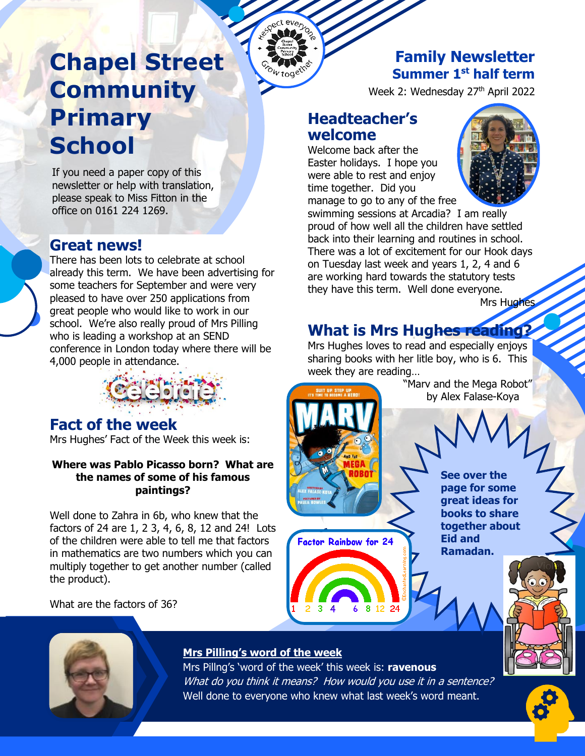## **Chapel Street Community Primary School**

If you need a paper copy of this **Rewsletter or help with translation,<br>please speak to Miss Fitton in the** please speak to Miss Fitton in the office on 0161 224 1269.

#### **Great news!**

There has been lots to celebrate at school already this term. We have been advertising for some teachers for September and were very pleased to have over 250 applications from great people who would like to work in our school. We're also really proud of Mrs Pilling who is leading a workshop at an SEND conference in London today where there will be 4,000 people in attendance.



#### **Fact of the week**

Mrs Hughes' Fact of the Week this week is:

#### **Where was Pablo Picasso born? What are the names of some of his famous paintings?**

Well done to Zahra in 6b, who knew that the factors of 24 are 1, 2 3, 4, 6, 8, 12 and 24! Lots of the children were able to tell me that factors in mathematics are two numbers which you can multiply together to get another number (called the product).

What are the factors of 36?

#### **Family Newsletter Summer 1st half term**

Week 2: Wednesday 27<sup>th</sup> April 2022

#### **Headteacher's welcome**

everyon **MO** 

> Welcome back after the Easter holidays. I hope you were able to rest and enjoy time together. Did you manage to go to any of the free



swimming sessions at Arcadia? I am really proud of how well all the children have settled back into their learning and routines in school. There was a lot of excitement for our Hook days on Tuesday last week and years 1, 2, 4 and 6 are working hard towards the statutory tests they have this term. Well done everyone.

Mrs Hughes

## **What is Mrs Hughes reading?**

Mrs Hughes loves to read and especially enjoys sharing books with her litle boy, who is 6. This week they are reading…

> "Marv and the Mega Robot" by Alex Falase-Koya

> > **See over the page for some great ideas for books to share together about**

**Eid and Ramadan.**



#### **Mrs Pilling's word of the week**

Mrs Pillng's 'word of the week' this week is: **ravenous** What do you think it means? How would you use it in a sentence? Well done to everyone who knew what last week's word meant.

 $3\quad 4$ 

**Factor Rainbow for 24** 

6 8 12 24